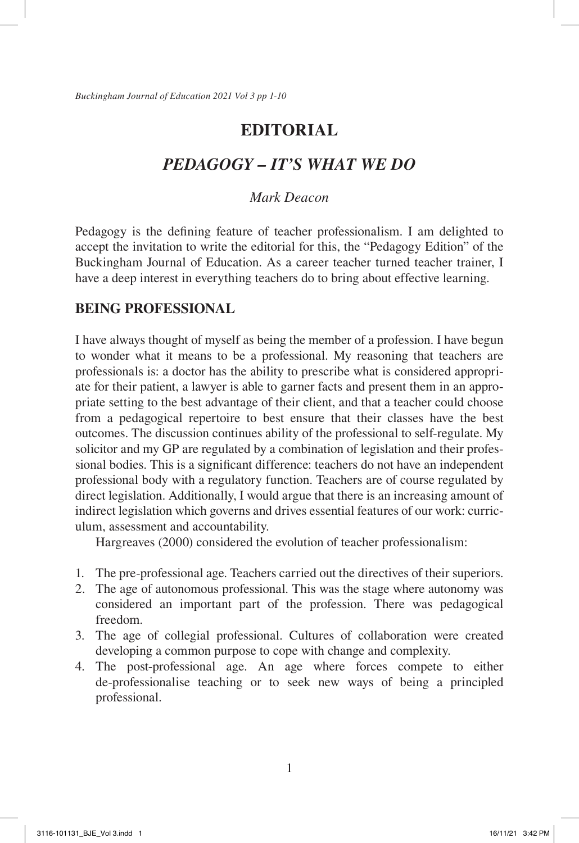# *PEDAGOGY – IT'S WHAT WE DO*

# *Mark Deacon*

Pedagogy is the defining feature of teacher professionalism. I am delighted to accept the invitation to write the editorial for this, the "Pedagogy Edition" of the Buckingham Journal of Education. As a career teacher turned teacher trainer, I have a deep interest in everything teachers do to bring about effective learning.

# **BEING PROFESSIONAL**

I have always thought of myself as being the member of a profession. I have begun to wonder what it means to be a professional. My reasoning that teachers are professionals is: a doctor has the ability to prescribe what is considered appropriate for their patient, a lawyer is able to garner facts and present them in an appropriate setting to the best advantage of their client, and that a teacher could choose from a pedagogical repertoire to best ensure that their classes have the best outcomes. The discussion continues ability of the professional to self-regulate. My solicitor and my GP are regulated by a combination of legislation and their professional bodies. This is a significant difference: teachers do not have an independent professional body with a regulatory function. Teachers are of course regulated by direct legislation. Additionally, I would argue that there is an increasing amount of indirect legislation which governs and drives essential features of our work: curriculum, assessment and accountability.

Hargreaves (2000) considered the evolution of teacher professionalism:

- 1. The pre-professional age. Teachers carried out the directives of their superiors.
- 2. The age of autonomous professional. This was the stage where autonomy was considered an important part of the profession. There was pedagogical freedom.
- 3. The age of collegial professional. Cultures of collaboration were created developing a common purpose to cope with change and complexity.
- 4. The post-professional age. An age where forces compete to either de-professionalise teaching or to seek new ways of being a principled professional.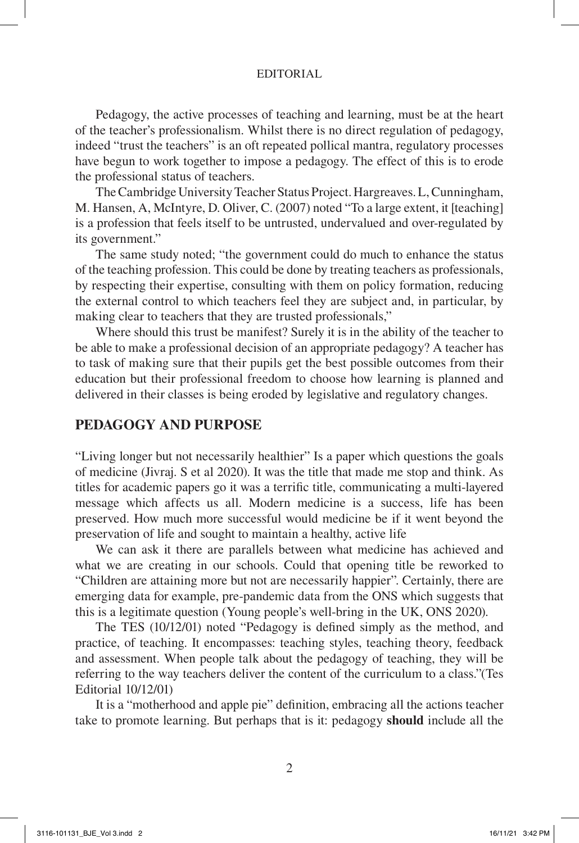Pedagogy, the active processes of teaching and learning, must be at the heart of the teacher's professionalism. Whilst there is no direct regulation of pedagogy, indeed "trust the teachers" is an oft repeated pollical mantra, regulatory processes have begun to work together to impose a pedagogy. The effect of this is to erode the professional status of teachers.

The Cambridge University Teacher Status Project. Hargreaves. L, Cunningham, M. Hansen, A, McIntyre, D. Oliver, C. (2007) noted "To a large extent, it [teaching] is a profession that feels itself to be untrusted, undervalued and over-regulated by its government."

The same study noted; "the government could do much to enhance the status of the teaching profession. This could be done by treating teachers as professionals, by respecting their expertise, consulting with them on policy formation, reducing the external control to which teachers feel they are subject and, in particular, by making clear to teachers that they are trusted professionals,"

Where should this trust be manifest? Surely it is in the ability of the teacher to be able to make a professional decision of an appropriate pedagogy? A teacher has to task of making sure that their pupils get the best possible outcomes from their education but their professional freedom to choose how learning is planned and delivered in their classes is being eroded by legislative and regulatory changes.

## **PEDAGOGY AND PURPOSE**

"Living longer but not necessarily healthier" Is a paper which questions the goals of medicine (Jivraj. S et al 2020). It was the title that made me stop and think. As titles for academic papers go it was a terrific title, communicating a multi-layered message which affects us all. Modern medicine is a success, life has been preserved. How much more successful would medicine be if it went beyond the preservation of life and sought to maintain a healthy, active life

We can ask it there are parallels between what medicine has achieved and what we are creating in our schools. Could that opening title be reworked to "Children are attaining more but not are necessarily happier". Certainly, there are emerging data for example, pre-pandemic data from the ONS which suggests that this is a legitimate question (Young people's well-bring in the UK, ONS 2020).

The TES (10/12/01) noted "Pedagogy is defined simply as the method, and practice, of teaching. It encompasses: teaching styles, teaching theory, feedback and assessment. When people talk about the pedagogy of teaching, they will be referring to the way teachers deliver the content of the curriculum to a class."(Tes Editorial 10/12/01)

It is a "motherhood and apple pie" definition, embracing all the actions teacher take to promote learning. But perhaps that is it: pedagogy **should** include all the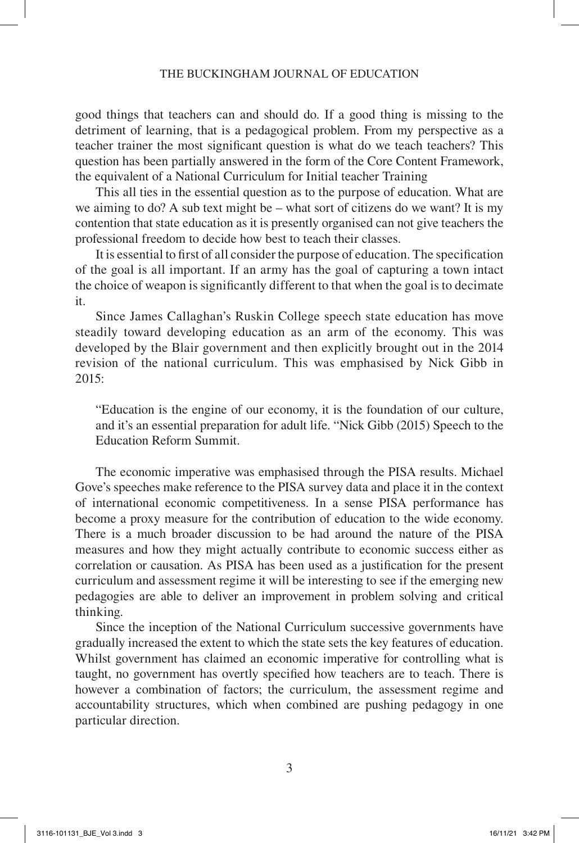good things that teachers can and should do. If a good thing is missing to the detriment of learning, that is a pedagogical problem. From my perspective as a teacher trainer the most significant question is what do we teach teachers? This question has been partially answered in the form of the Core Content Framework, the equivalent of a National Curriculum for Initial teacher Training

This all ties in the essential question as to the purpose of education. What are we aiming to do? A sub text might be – what sort of citizens do we want? It is my contention that state education as it is presently organised can not give teachers the professional freedom to decide how best to teach their classes.

It is essential to first of all consider the purpose of education. The specification of the goal is all important. If an army has the goal of capturing a town intact the choice of weapon is significantly different to that when the goal is to decimate it.

Since James Callaghan's Ruskin College speech state education has move steadily toward developing education as an arm of the economy. This was developed by the Blair government and then explicitly brought out in the 2014 revision of the national curriculum. This was emphasised by Nick Gibb in  $2015$ 

"Education is the engine of our economy, it is the foundation of our culture, and it's an essential preparation for adult life. "Nick Gibb (2015) Speech to the Education Reform Summit.

The economic imperative was emphasised through the PISA results. Michael Gove's speeches make reference to the PISA survey data and place it in the context of international economic competitiveness. In a sense PISA performance has become a proxy measure for the contribution of education to the wide economy. There is a much broader discussion to be had around the nature of the PISA measures and how they might actually contribute to economic success either as correlation or causation. As PISA has been used as a justification for the present curriculum and assessment regime it will be interesting to see if the emerging new pedagogies are able to deliver an improvement in problem solving and critical thinking.

Since the inception of the National Curriculum successive governments have gradually increased the extent to which the state sets the key features of education. Whilst government has claimed an economic imperative for controlling what is taught, no government has overtly specified how teachers are to teach. There is however a combination of factors; the curriculum, the assessment regime and accountability structures, which when combined are pushing pedagogy in one particular direction.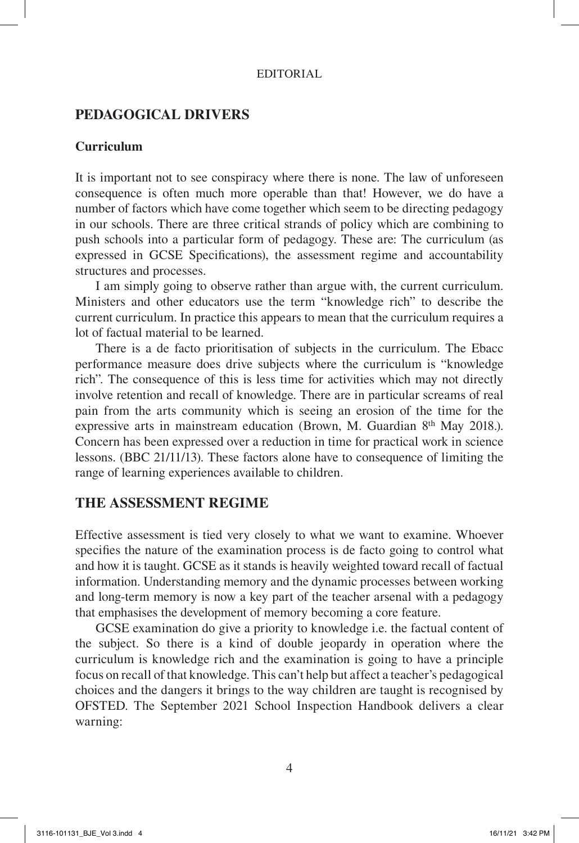# **PEDAGOGICAL DRIVERS**

### **Curriculum**

It is important not to see conspiracy where there is none. The law of unforeseen consequence is often much more operable than that! However, we do have a number of factors which have come together which seem to be directing pedagogy in our schools. There are three critical strands of policy which are combining to push schools into a particular form of pedagogy. These are: The curriculum (as expressed in GCSE Specifications), the assessment regime and accountability structures and processes.

I am simply going to observe rather than argue with, the current curriculum. Ministers and other educators use the term "knowledge rich" to describe the current curriculum. In practice this appears to mean that the curriculum requires a lot of factual material to be learned.

There is a de facto prioritisation of subjects in the curriculum. The Ebacc performance measure does drive subjects where the curriculum is "knowledge rich". The consequence of this is less time for activities which may not directly involve retention and recall of knowledge. There are in particular screams of real pain from the arts community which is seeing an erosion of the time for the expressive arts in mainstream education (Brown, M. Guardian 8th May 2018.). Concern has been expressed over a reduction in time for practical work in science lessons. (BBC 21/11/13). These factors alone have to consequence of limiting the range of learning experiences available to children.

# **THE ASSESSMENT REGIME**

Effective assessment is tied very closely to what we want to examine. Whoever specifies the nature of the examination process is de facto going to control what and how it is taught. GCSE as it stands is heavily weighted toward recall of factual information. Understanding memory and the dynamic processes between working and long-term memory is now a key part of the teacher arsenal with a pedagogy that emphasises the development of memory becoming a core feature.

GCSE examination do give a priority to knowledge i.e. the factual content of the subject. So there is a kind of double jeopardy in operation where the curriculum is knowledge rich and the examination is going to have a principle focus on recall of that knowledge. This can't help but affect a teacher's pedagogical choices and the dangers it brings to the way children are taught is recognised by OFSTED. The September 2021 School Inspection Handbook delivers a clear warning: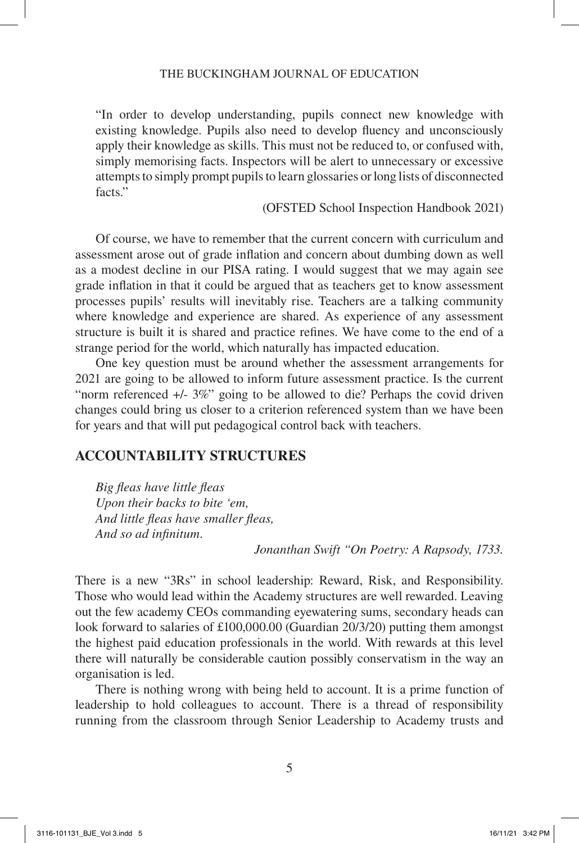#### THE BUCKINGHAM JOURNAL OF EDUCATION

"In order to develop understanding, pupils connect new knowledge with existing knowledge. Pupils also need to develop fluency and unconsciously apply their knowledge as skills. This must not be reduced to, or confused with, simply memorising facts. Inspectors will be alert to unnecessary or excessive attempts to simply prompt pupils to learn glossaries or long lists of disconnected facts"

(OFSTED School Inspection Handbook 2021)

Of course, we have to remember that the current concern with curriculum and assessment arose out of grade inflation and concern about dumbing down as well as a modest decline in our PISA rating. I would suggest that we may again see grade inflation in that it could be argued that as teachers get to know assessment processes pupils' results will inevitably rise. Teachers are a talking community where knowledge and experience are shared. As experience of any assessment structure is built it is shared and practice refines. We have come to the end of a strange period for the world, which naturally has impacted education.

One key question must be around whether the assessment arrangements for 2021 are going to be allowed to inform future assessment practice. Is the current "norm referenced +/- 3%" going to be allowed to die? Perhaps the covid driven changes could bring us closer to a criterion referenced system than we have been for years and that will put pedagogical control back with teachers.

## **ACCOUNTABILITY STRUCTURES**

*Big fleas have little fleas Upon their backs to bite 'em, And little fleas have smaller fleas, And so ad infinitum.*

*Jonanthan Swift "On Poetry: A Rapsody, 1733.*

There is a new "3Rs" in school leadership: Reward, Risk, and Responsibility. Those who would lead within the Academy structures are well rewarded. Leaving out the few academy CEOs commanding eyewatering sums, secondary heads can look forward to salaries of £100,000.00 (Guardian 20/3/20) putting them amongst the highest paid education professionals in the world. With rewards at this level there will naturally be considerable caution possibly conservatism in the way an organisation is led.

There is nothing wrong with being held to account. It is a prime function of leadership to hold colleagues to account. There is a thread of responsibility running from the classroom through Senior Leadership to Academy trusts and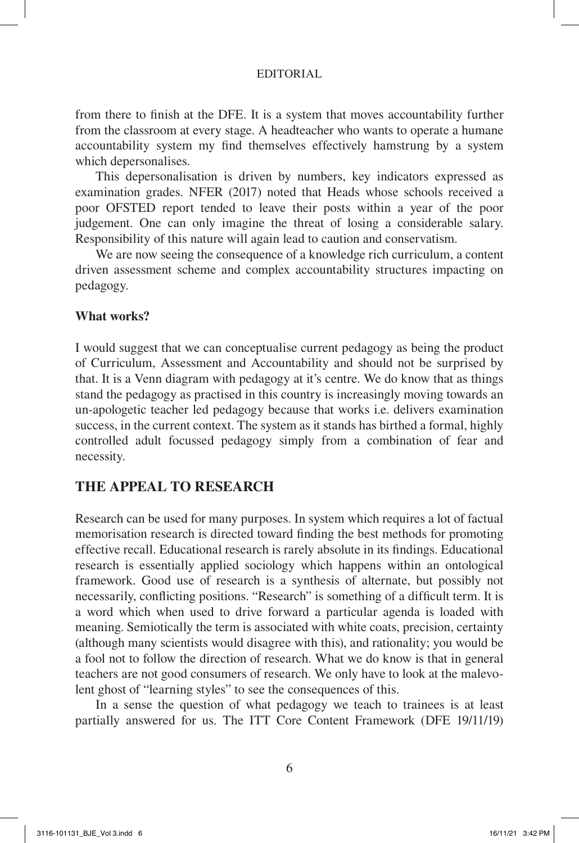from there to finish at the DFE. It is a system that moves accountability further from the classroom at every stage. A headteacher who wants to operate a humane accountability system my find themselves effectively hamstrung by a system which depersonalises.

This depersonalisation is driven by numbers, key indicators expressed as examination grades. NFER (2017) noted that Heads whose schools received a poor OFSTED report tended to leave their posts within a year of the poor judgement. One can only imagine the threat of losing a considerable salary. Responsibility of this nature will again lead to caution and conservatism.

We are now seeing the consequence of a knowledge rich curriculum, a content driven assessment scheme and complex accountability structures impacting on pedagogy.

### **What works?**

I would suggest that we can conceptualise current pedagogy as being the product of Curriculum, Assessment and Accountability and should not be surprised by that. It is a Venn diagram with pedagogy at it's centre. We do know that as things stand the pedagogy as practised in this country is increasingly moving towards an un-apologetic teacher led pedagogy because that works i.e. delivers examination success, in the current context. The system as it stands has birthed a formal, highly controlled adult focussed pedagogy simply from a combination of fear and necessity.

# **THE APPEAL TO RESEARCH**

Research can be used for many purposes. In system which requires a lot of factual memorisation research is directed toward finding the best methods for promoting effective recall. Educational research is rarely absolute in its findings. Educational research is essentially applied sociology which happens within an ontological framework. Good use of research is a synthesis of alternate, but possibly not necessarily, conflicting positions. "Research" is something of a difficult term. It is a word which when used to drive forward a particular agenda is loaded with meaning. Semiotically the term is associated with white coats, precision, certainty (although many scientists would disagree with this), and rationality; you would be a fool not to follow the direction of research. What we do know is that in general teachers are not good consumers of research. We only have to look at the malevolent ghost of "learning styles" to see the consequences of this.

In a sense the question of what pedagogy we teach to trainees is at least partially answered for us. The ITT Core Content Framework (DFE 19/11/19)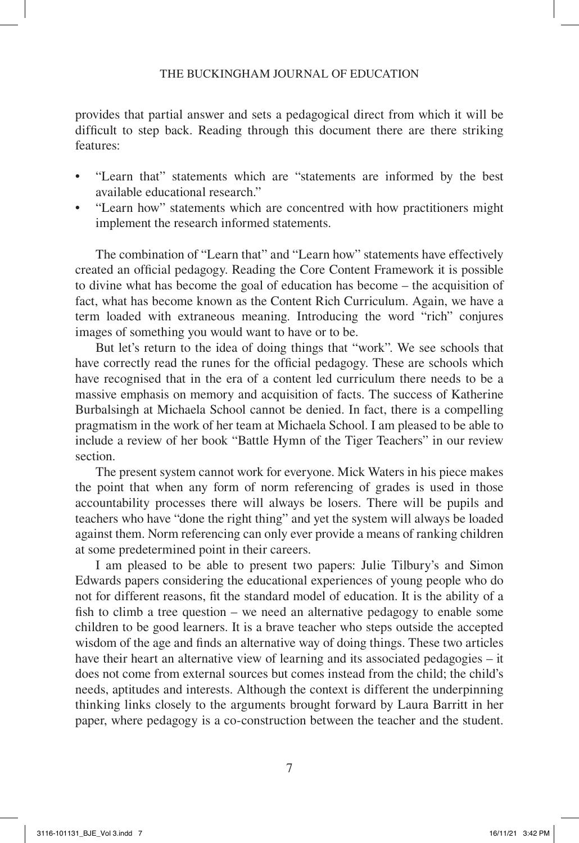#### THE BUCKINGHAM JOURNAL OF EDUCATION

provides that partial answer and sets a pedagogical direct from which it will be difficult to step back. Reading through this document there are there striking features:

- "Learn that" statements which are "statements are informed by the best available educational research."
- "Learn how" statements which are concentred with how practitioners might implement the research informed statements.

The combination of "Learn that" and "Learn how" statements have effectively created an official pedagogy. Reading the Core Content Framework it is possible to divine what has become the goal of education has become – the acquisition of fact, what has become known as the Content Rich Curriculum. Again, we have a term loaded with extraneous meaning. Introducing the word "rich" conjures images of something you would want to have or to be.

But let's return to the idea of doing things that "work". We see schools that have correctly read the runes for the official pedagogy. These are schools which have recognised that in the era of a content led curriculum there needs to be a massive emphasis on memory and acquisition of facts. The success of Katherine Burbalsingh at Michaela School cannot be denied. In fact, there is a compelling pragmatism in the work of her team at Michaela School. I am pleased to be able to include a review of her book "Battle Hymn of the Tiger Teachers" in our review section.

The present system cannot work for everyone. Mick Waters in his piece makes the point that when any form of norm referencing of grades is used in those accountability processes there will always be losers. There will be pupils and teachers who have "done the right thing" and yet the system will always be loaded against them. Norm referencing can only ever provide a means of ranking children at some predetermined point in their careers.

I am pleased to be able to present two papers: Julie Tilbury's and Simon Edwards papers considering the educational experiences of young people who do not for different reasons, fit the standard model of education. It is the ability of a fish to climb a tree question – we need an alternative pedagogy to enable some children to be good learners. It is a brave teacher who steps outside the accepted wisdom of the age and finds an alternative way of doing things. These two articles have their heart an alternative view of learning and its associated pedagogies – it does not come from external sources but comes instead from the child; the child's needs, aptitudes and interests. Although the context is different the underpinning thinking links closely to the arguments brought forward by Laura Barritt in her paper, where pedagogy is a co-construction between the teacher and the student.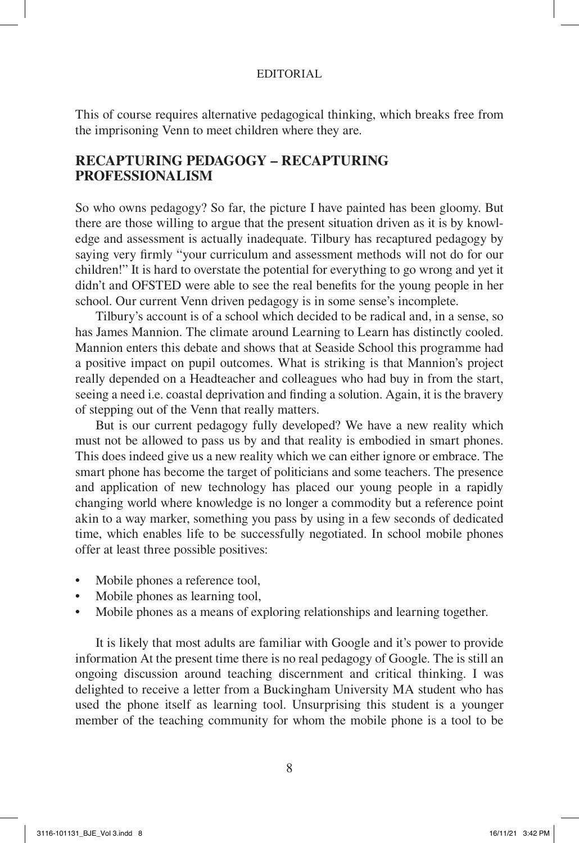This of course requires alternative pedagogical thinking, which breaks free from the imprisoning Venn to meet children where they are.

## **RECAPTURING PEDAGOGY – RECAPTURING PROFESSIONALISM**

So who owns pedagogy? So far, the picture I have painted has been gloomy. But there are those willing to argue that the present situation driven as it is by knowledge and assessment is actually inadequate. Tilbury has recaptured pedagogy by saying very firmly "your curriculum and assessment methods will not do for our children!" It is hard to overstate the potential for everything to go wrong and yet it didn't and OFSTED were able to see the real benefits for the young people in her school. Our current Venn driven pedagogy is in some sense's incomplete.

Tilbury's account is of a school which decided to be radical and, in a sense, so has James Mannion. The climate around Learning to Learn has distinctly cooled. Mannion enters this debate and shows that at Seaside School this programme had a positive impact on pupil outcomes. What is striking is that Mannion's project really depended on a Headteacher and colleagues who had buy in from the start, seeing a need i.e. coastal deprivation and finding a solution. Again, it is the bravery of stepping out of the Venn that really matters.

But is our current pedagogy fully developed? We have a new reality which must not be allowed to pass us by and that reality is embodied in smart phones. This does indeed give us a new reality which we can either ignore or embrace. The smart phone has become the target of politicians and some teachers. The presence and application of new technology has placed our young people in a rapidly changing world where knowledge is no longer a commodity but a reference point akin to a way marker, something you pass by using in a few seconds of dedicated time, which enables life to be successfully negotiated. In school mobile phones offer at least three possible positives:

- Mobile phones a reference tool,
- Mobile phones as learning tool,
- Mobile phones as a means of exploring relationships and learning together.

It is likely that most adults are familiar with Google and it's power to provide information At the present time there is no real pedagogy of Google. The is still an ongoing discussion around teaching discernment and critical thinking. I was delighted to receive a letter from a Buckingham University MA student who has used the phone itself as learning tool. Unsurprising this student is a younger member of the teaching community for whom the mobile phone is a tool to be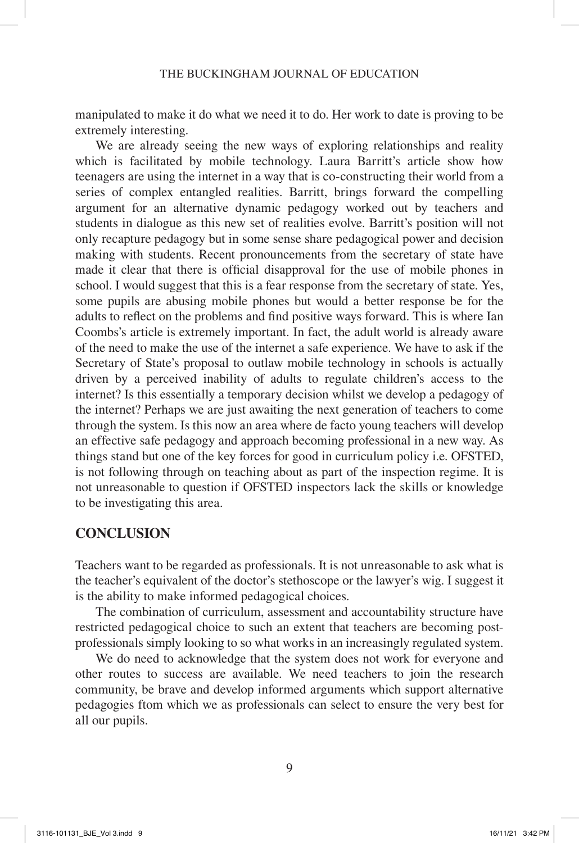manipulated to make it do what we need it to do. Her work to date is proving to be extremely interesting.

We are already seeing the new ways of exploring relationships and reality which is facilitated by mobile technology. Laura Barritt's article show how teenagers are using the internet in a way that is co-constructing their world from a series of complex entangled realities. Barritt, brings forward the compelling argument for an alternative dynamic pedagogy worked out by teachers and students in dialogue as this new set of realities evolve. Barritt's position will not only recapture pedagogy but in some sense share pedagogical power and decision making with students. Recent pronouncements from the secretary of state have made it clear that there is official disapproval for the use of mobile phones in school. I would suggest that this is a fear response from the secretary of state. Yes, some pupils are abusing mobile phones but would a better response be for the adults to reflect on the problems and find positive ways forward. This is where Ian Coombs's article is extremely important. In fact, the adult world is already aware of the need to make the use of the internet a safe experience. We have to ask if the Secretary of State's proposal to outlaw mobile technology in schools is actually driven by a perceived inability of adults to regulate children's access to the internet? Is this essentially a temporary decision whilst we develop a pedagogy of the internet? Perhaps we are just awaiting the next generation of teachers to come through the system. Is this now an area where de facto young teachers will develop an effective safe pedagogy and approach becoming professional in a new way. As things stand but one of the key forces for good in curriculum policy i.e. OFSTED, is not following through on teaching about as part of the inspection regime. It is not unreasonable to question if OFSTED inspectors lack the skills or knowledge to be investigating this area.

## **CONCLUSION**

Teachers want to be regarded as professionals. It is not unreasonable to ask what is the teacher's equivalent of the doctor's stethoscope or the lawyer's wig. I suggest it is the ability to make informed pedagogical choices.

The combination of curriculum, assessment and accountability structure have restricted pedagogical choice to such an extent that teachers are becoming postprofessionals simply looking to so what works in an increasingly regulated system.

We do need to acknowledge that the system does not work for everyone and other routes to success are available. We need teachers to join the research community, be brave and develop informed arguments which support alternative pedagogies ftom which we as professionals can select to ensure the very best for all our pupils.